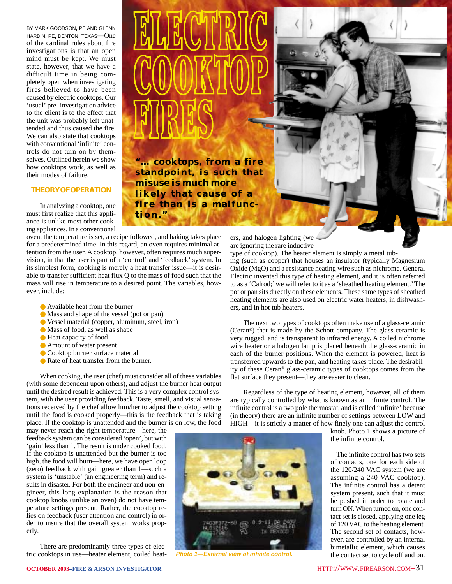BY MARK GOODSON, PE AND GLENN HARDIN, PE, DENTON, TEXAS—One of the cardinal rules about fire investigations is that an open mind must be kept. We must state, however, that we have a difficult time in being completely open when investigating fires believed to have been caused by electric cooktops. Our 'usual' pre- investigation advice to the client is to the effect that the unit was probably left unattended and thus caused the fire. We can also state that cooktops with conventional 'infinite' controls do not turn on by themselves. Outlined herein we show how cooktops work, as well as their modes of failure.

# **THEORY OF OPERATION**

In analyzing a cooktop, one must first realize that this appliance is unlike most other cooking appliances. In a conventional

oven, the temperature is set, a recipe followed, and baking takes place for a predetermined time. In this regard, an oven requires minimal attention from the user. A cooktop, however, often requires much supervision, in that the user is part of a 'control' and 'feedback' system. In its simplest form, cooking is merely a heat transfer issue—it is desirable to transfer sufficient heat flux Q to the mass of food such that the mass will rise in temperature to a desired point. The variables, however, include:

**tion."**

- Available heat from the burner
- Mass and shape of the vessel (pot or pan)
- Vessel material (copper, aluminum, steel, iron)
- Mass of food, as well as shape
- Heat capacity of food
- Amount of water present
- Cooktop burner surface material
- Rate of heat transfer from the burner.

When cooking, the user (chef) must consider all of these variables (with some dependent upon others), and adjust the burner heat output until the desired result is achieved. This is a very complex control system, with the user providing feedback. Taste, smell, and visual sensations received by the chef allow him/her to adjust the cooktop setting until the food is cooked properly—this is the feedback that is taking place. If the cooktop is unattended and the burner is on low, the food

may never reach the right temperature—here, the feedback system can be considered 'open', but with 'gain' less than 1. The result is under cooked food. If the cooktop is unattended but the burner is too high, the food will burn—here, we have open loop (zero) feedback with gain greater than 1—such a system is 'unstable' (an engineering term) and results in disaster. For both the engineer and non-engineer, this long explanation is the reason that cooktop knobs (unlike an oven) do not have temperature settings present. Rather, the cooktop relies on feedback (user attention and control) in order to insure that the overall system works properly.

There are predominantly three types of electric cooktops in use—heater element, coiled heaters, and halogen lighting (we

**"… cooktops, from a fire standpoint, is such that**

**misuse is much more likely that cause of a fire than is a malfunc-**

are ignoring the rare inductive

type of cooktop). The heater element is simply a metal tubing (such as copper) that houses an insulator (typically Magnesium Oxide (MgO) and a resistance heating wire such as nichrome. General Electric invented this type of heating element, and it is often referred to as a 'Calrod;' we will refer to it as a 'sheathed heating element.' The pot or pan sits directly on these elements. These same types of sheathed heating elements are also used on electric water heaters, in dishwashers, and in hot tub heaters.

The next two types of cooktops often make use of a glass-ceramic (Ceran®) that is made by the Schott company. The glass-ceramic is very rugged, and is transparent to infrared energy. A coiled nichrome wire heater or a halogen lamp is placed beneath the glass-ceramic in each of the burner positions. When the element is powered, heat is transferred upwards to the pan, and heating takes place. The desirability of these Ceran® glass-ceramic types of cooktops comes from the flat surface they present—they are easier to clean.

Regardless of the type of heating element, however, all of them are typically controlled by what is known as an infinite control. The infinite control is a two pole thermostat, and is called 'infinite' because (in theory) there are an infinite number of settings between LOW and HIGH—it is strictly a matter of how finely one can adjust the control

knob. Photo 1 shows a picture of the infinite control.

The infinite control has two sets of contacts, one for each side of the 120/240 VAC system (we are assuming a 240 VAC cooktop). The infinite control has a detent system present, such that it must be pushed in order to rotate and turn ON. When turned on, one contact set is closed, applying one leg of 120 VAC to the heating element. The second set of contacts, however, are controlled by an internal bimetallic element, which causes the contact set to cycle off and on.



**Photo 1—External view of infinite control.**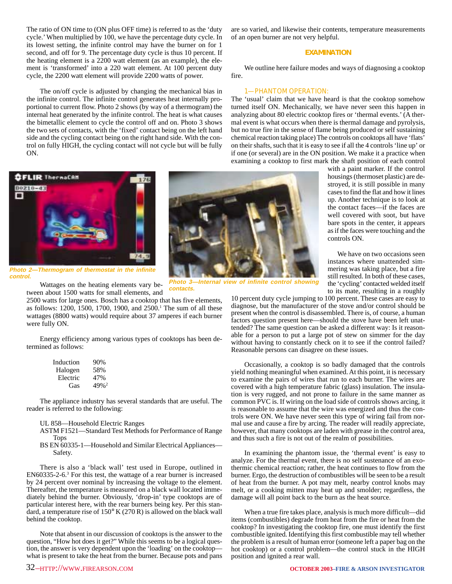The ratio of ON time to (ON plus OFF time) is referred to as the 'duty cycle.' When multiplied by 100, we have the percentage duty cycle. In its lowest setting, the infinite control may have the burner on for 1 second, and off for 9. The percentage duty cycle is thus 10 percent. If the heating element is a 2200 watt element (as an example), the element is 'transformed' into a 220 watt element. At 100 percent duty cycle, the 2200 watt element will provide 2200 watts of power.

The on/off cycle is adjusted by changing the mechanical bias in the infinite control. The infinite control generates heat internally proportional to current flow. Photo 2 shows (by way of a thermogram) the internal heat generated by the infinite control. The heat is what causes the bimetallic element to cycle the control off and on. Photo 3 shows the two sets of contacts, with the 'fixed' contact being on the left hand side and the cycling contact being on the right hand side. With the control on fully HIGH, the cycling contact will not cycle but will be fully ON.

are so varied, and likewise their contents, temperature measurements of an open burner are not very helpful.

# **EXAMINATION**

We outline here failure modes and ways of diagnosing a cooktop fire.

#### 1—PHANTOM OPERATION:

The 'usual' claim that we have heard is that the cooktop somehow turned itself ON. Mechanically, we have never seen this happen in analyzing about 80 electric cooktop fires or 'thermal events.' (A thermal event is what occurs when there is thermal damage and pyrolysis, but no true fire in the sense of flame being produced or self sustaining chemical reaction taking place) The controls on cooktops all have 'flats' on their shafts, such that it is easy to see if all the 4 controls 'line up' or if one (or several) are in the ON position. We make it a practice when examining a cooktop to first mark the shaft position of each control

> with a paint marker. If the control housings (thermoset plastic) are destroyed, it is still possible in many cases to find the flat and how it lines up. Another technique is to look at the contact faces—if the faces are well covered with soot, but have bare spots in the center, it appears as if the faces were touching and the

> We have on two occasions seen instances where unattended simmering was taking place, but a fire still resulted. In both of these cases, the 'cycling' contacted welded itself to its mate, resulting in a roughly



**Photo 2—Thermogram of thermostat in the infinite control.**

Wattages on the heating elements vary between about 1500 watts for small elements, and

2500 watts for large ones. Bosch has a cooktop that has five elements, as follows: 1200, 1500, 1700, 1900, and 2500.<sup>1</sup> The sum of all these wattages (8800 watts) would require about 37 amperes if each burner were fully ON.

Energy efficiency among various types of cooktops has been determined as follows:

| Induction | 90%     |
|-----------|---------|
| Halogen   | 58%     |
| Electric  | 47%     |
| Gas       | $49%^2$ |

The appliance industry has several standards that are useful. The reader is referred to the following:

#### UL 858—Household Electric Ranges

- ASTM F1521—Standard Test Methods for Performance of Range Tops
- BS EN 60335-1—Household and Similar Electrical Appliances— Safety.

There is also a 'black wall' test used in Europe, outlined in EN60335-2-6.3 For this test, the wattage of a rear burner is increased by 24 percent over nominal by increasing the voltage to the element. Thereafter, the temperature is measured on a black wall located immediately behind the burner. Obviously, 'drop-in' type cooktops are of particular interest here, with the rear burners being key. Per this standard, a temperature rise of 150° K (270 R) is allowed on the black wall behind the cooktop.

Note that absent in our discussion of cooktops is the answer to the question, "How hot does it get?" While this seems to be a logical question, the answer is very dependent upon the 'loading' on the cooktop what is present to take the heat from the burner. Because pots and pans



**Photo 3—Internal view of infinite control showing contacts.**

> 10 percent duty cycle jumping to 100 percent. These cases are easy to diagnose, but the manufacturer of the stove and/or control should be present when the control is disassembled. There is, of course, a human factors question present here—should the stove have been left unattended? The same question can be asked a different way: Is it reasonable for a person to put a large pot of stew on simmer for the day without having to constantly check on it to see if the control failed? Reasonable persons can disagree on these issues.

controls ON.

Occasionally, a cooktop is so badly damaged that the controls yield nothing meaningful when examined. At this point, it is necessary to examine the pairs of wires that run to each burner. The wires are covered with a high temperature fabric (glass) insulation. The insulation is very rugged, and not prone to failure in the same manner as common PVC is. If wiring on the load side of controls shows arcing, it is reasonable to assume that the wire was energized and thus the controls were ON. We have never seen this type of wiring fail from normal use and cause a fire by arcing. The reader will readily appreciate, however, that many cooktops are laden with grease in the control area, and thus such a fire is not out of the realm of possibilities.

In examining the phantom issue, the 'thermal event' is easy to analyze. For the thermal event, there is no self sustenance of an exothermic chemical reaction; rather, the heat continues to flow from the burner. Ergo, the destruction of combustibles will be seen to be a result of heat from the burner. A pot may melt, nearby control knobs may melt, or a cooking mitten may heat up and smolder; regardless, the damage will all point back to the burn as the heat source.

When a true fire takes place, analysis is much more difficult—did items (combustibles) degrade from heat from the fire or heat from the cooktop? In investigating the cooktop fire, one must identify the first combustible ignited. Identifying this first combustible may tell whether the problem is a result of human error (someone left a paper bag on the hot cooktop) or a control problem—the control stuck in the HIGH position and ignited a rear wall.